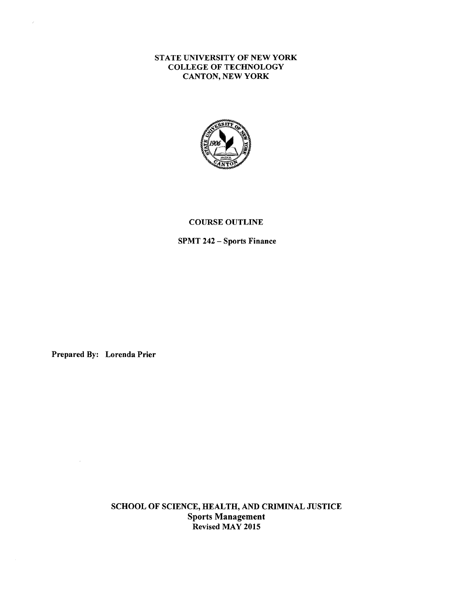## STATE UNIVERSITY OF NEW YORK COLLEGE OF TECHNOLOGY CANTON, NEW YORK



### COURSE OUTLINE

SPMT 242 - Sports Finance

Prepared By: Lorenda Prier

 $\bar{z}$ 

J.

SCHOOL OF SCIENCE, HEALTH, AND CRIMINAL JUSTICE Sports Management Revised MAY 2015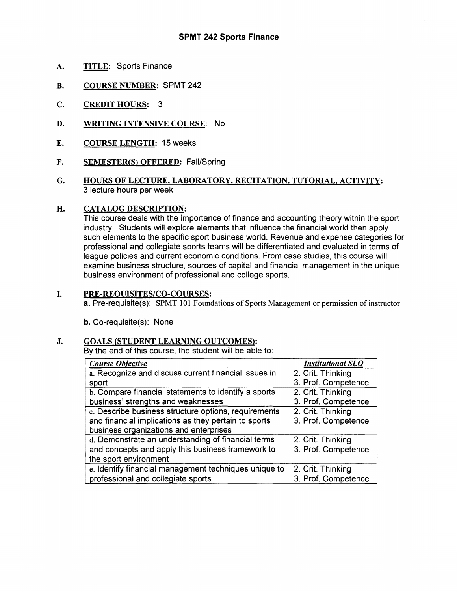- **A. TITLE:** Sports Finance
- **B. COURSE NUMBER:** SPMT 242
- **C. CREDIT HOURS:** 3
- **D. WRITING INTENSIVE COURSE:** No
- **E. COURSE LENGTH:** 15 **weeks**
- F. **SEMESTER(S} OFFERED:** Fall/Spring
- **G. HOURS OF LECTURE, LABORATORY, RECITATION, TUTORIAL, ACTIVITY:**  3 lecture hours per week

### **H. CATALOG DESCRIPTION:**

This course deals with the importance of finance and accounting theory within the sport industry. Students will explore elements that influence the financial world then apply such elements to the specific sport business world. Revenue and expense categories for professional and collegiate sports teams will be differentiated and evaluated in terms of league policies and current economic conditions. From case studies, this course will examine business structure, sources of capital and financial management in the unique business environment of professional and college sports.

#### I. **PRE-REQUISITES/CO-COURSES:**

**a.** Pre-requisite(s): SPMT 101 Foundations of Sports Management or permission of instructor

**b.** Co-requisite(s): None

### J. **GOALS (STUDENT LEARNING OUTCOMES}:**

By the end of this course, the student will be able to:

| <b>Course Objective</b>                               | <b>Institutional SLO</b> |
|-------------------------------------------------------|--------------------------|
| a. Recognize and discuss current financial issues in  | 2. Crit. Thinking        |
| sport                                                 | 3. Prof. Competence      |
| b. Compare financial statements to identify a sports  | 2. Crit. Thinking        |
| business' strengths and weaknesses                    | 3. Prof. Competence      |
| c. Describe business structure options, requirements  | 2. Crit. Thinking        |
| and financial implications as they pertain to sports  | 3. Prof. Competence      |
| business organizations and enterprises                |                          |
| d. Demonstrate an understanding of financial terms    | 2. Crit. Thinking        |
| and concepts and apply this business framework to     | 3. Prof. Competence      |
| the sport environment                                 |                          |
| e. Identify financial management techniques unique to | 2. Crit. Thinking        |
| professional and collegiate sports                    | 3. Prof. Competence      |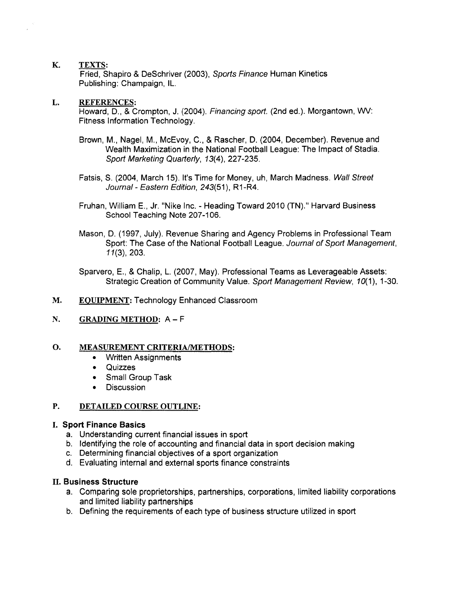## **K. TEXTS:**

Fried, Shapiro & DeSchriver (2003), Sports Finance Human Kinetics Publishing: Champaign, IL.

### **L. REFERENCES:**

Howard, D., & Crompton, J. (2004). Financing sport. (2nd ed.). Morgantown, WV: Fitness Information Technology.

- Brown, M., Nagel, M., McEvoy, C., & Rascher, D. (2004, December). Revenue and Wealth Maximization in the National Football League: The Impact of Stadia. Sport Marketing Quarterly, 13(4), 227-235.
- Fatsis, S. (2004, March 15). It's Time for Money, uh, March Madness. Wall Street Journal - Eastern Edition, 243(51), R1-R4.
- Fruhan, William E., Jr. "Nike Inc. Heading Toward 2010 (TN)." Harvard Business School Teaching Note 207-106.
- Mason, D. (1997, July). Revenue Sharing and Agency Problems in Professional Team Sport: The Case of the National Football League. Journal of Sport Management, 11(3), 203.
- Sparvero, E., & Chalip, L. (2007, May). Professional Teams as Leverageable Assets: Strategic Creation of Community Value. Sport Management Review, 10(1), 1-30.
- **M. EQUIPMENT:** Technology Enhanced Classroom
- **N. GRADING METHOD: A**  F

### **O. MEASUREMENT CRITERIA/METHODS:**

- Written Assignments
- Quizzes
- Small Group Task
- Discussion

### **P. DETAILED COURSE OUTLINE:**

# I. **Sport Finance Basics**

- a. Understanding current financial issues in sport
- b. Identifying the role of accounting and financial data in sport decision making
- c. Determining financial objectives of a sport organization
- d. Evaluating internal and external sports finance constraints

### II. **Business Structure**

- a. Comparing sole proprietorships, partnerships, corporations, limited liability corporations and limited liability partnerships
- b. Defining the requirements of each type of business structure utilized in sport